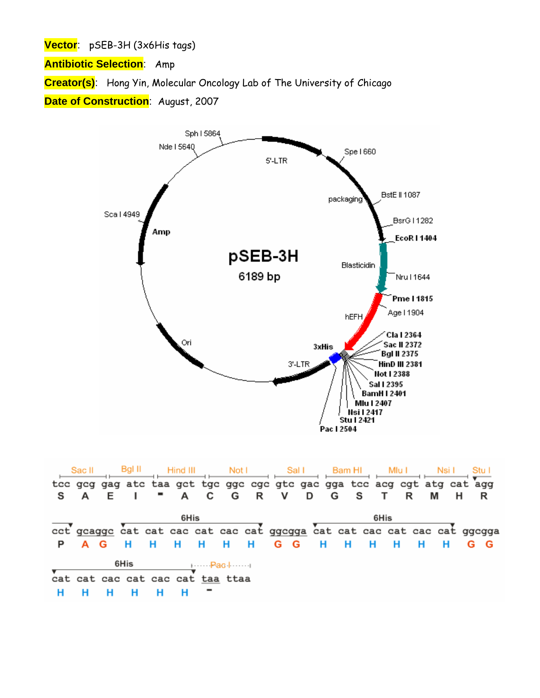**Vector**: pSEB-3H (3x6His tags)

**Antibiotic Selection**: Amp

**Creator(s)**: Hong Yin, Molecular Oncology Lab of The University of Chicago

**Date of Construction**: August, 2007



|    | Sac II                              |  | Bgl II |                                  | Hind III |     |     |     | Not I Sall Bam HI                                                        |     |     |     |      | Mlu I |   | Nsi I |     |  |
|----|-------------------------------------|--|--------|----------------------------------|----------|-----|-----|-----|--------------------------------------------------------------------------|-----|-----|-----|------|-------|---|-------|-----|--|
|    |                                     |  |        |                                  |          |     |     |     | tee geg gag ate taa get tge gge ege gte gae gga tee aeg egt atg eat agg  |     |     |     |      |       |   |       |     |  |
| S. |                                     |  |        |                                  |          |     |     |     | A C G R V D G S                                                          |     |     |     | T R  |       | М |       |     |  |
|    |                                     |  |        |                                  | 6His     |     |     |     |                                                                          |     |     |     | 6His |       |   |       |     |  |
|    |                                     |  |        |                                  |          |     |     |     | cet geagge cat cat cae cat cae cat ggegga cat cat cae cat cae cat ggegga |     |     |     |      |       |   |       |     |  |
|    | A G                                 |  |        |                                  | - H      | - H | - H | - H | G G                                                                      | - н | - H | - H | - H  |       | Н | -H    | G G |  |
|    | 6His<br>$\dots - \text{Pach} \dots$ |  |        |                                  |          |     |     |     |                                                                          |     |     |     |      |       |   |       |     |  |
|    |                                     |  |        | cat cat cac cat cac cat taa ttaa |          |     |     |     |                                                                          |     |     |     |      |       |   |       |     |  |
|    |                                     |  |        |                                  |          |     |     |     |                                                                          |     |     |     |      |       |   |       |     |  |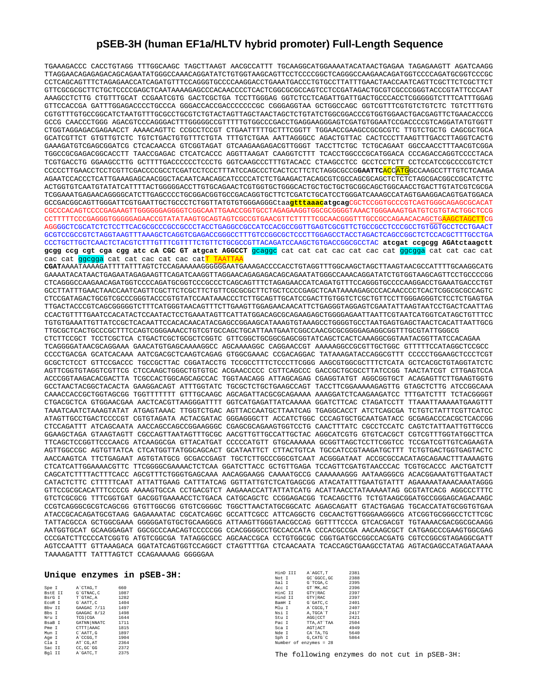## **pSEB-3H (human EF1a/HLTV hybrid promoter) Full-Length Sequence**

TGAAAGACCC CACCTGTAGG TTTGGCAAGC TAGCTTAAGT AACGCCATTT TGCAAGGCATGGAAAATACATAACTGAGAA TAGAGAAGTT AGATCAAGG TTAGGAACAGAGAGACAGCAGAATATGGGCCAAACAGGATATCTGTGGTAAGCAGTTCCTCCCCGGCTCAGGGCCAAGAACAGATGGTCCCCAGATGCGGTCCCGC CCTCAGCAGTTTCTAGAGAACCATCAGATGTTTCCAGGGTGCCCCAAGGACCTGAAATGACCCTGTGCCTTATTTGAACTAACCAATCAGTTCGCTTCTCGCTTCT GTTCGCGCGCTTCTGCTCCCCGAGCTCAATAAAAGAGCCCACAACCCCTCACTCGGCGCGCCAGTCCTCCGATAGACTGCGTCGCCCGGGTACCCGTATTCCCAAT AAAGCCTCTTG CTGTTTGCAT CCGAATCGTG GACTCGCTGA TCCTTGGGAG GGTCTCCTCAGATTGATTGACTGCCCACCTCGGGGGTCTTTCATTTGGAG GTTCCACCGA GATTTGGAGACCCCTGCCCA GGGACCACCGACCCCCCCGC CGGGAGGTAA GCTGGCCAGC GGTCGTTTCGTGTCTGTCTC TGTCTTTGTG CGTGTTTGTGCCGGCATCTAATGTTTGCGCCTGCGTCTGTACTAGTTAGCTAACTAGCTCTGTATCTGGCGGACCCGTGGTGGAACTGACGAGTTCTGAACACCCG GCCG CAACCCTGGG AGACGTCCCAGGGACTTTGGGGGCCGTTTTTGTGGCCCGACCTGAGGAAGGGAGTCGATGTGGAATCCGACCCCGTCAGGATATGTGGTT CTGGTAGGAGACGAGAACCT AAAACAGTTC CCGCCTCCGT CTGAATTTTTGCTTTCGGTT TGGAACCGAAGCCGCGCGTC TTGTCTGCTG CAGCGCTGCA GCATCGTTCT GTGTTGTCTC TGTCTGACTGTGTTTCTGTA TTTGTCTGAA AATTAGGGCC AGACTGTTAC CACTCCCTTAAGTTTGACCTTAGGTCACTG GAAAGATGTCGAGCGGATCG CTCACAACCA GTCGGTAGAT GTCAAGAAGAGACGTTGGGT TACCTTCTGC TCTGCAGAAT GGCCAACCTTTAACGTCGGA TGGCCGCGAGACGGCACCTT TAACCGAGAC CTCATCACCC AGGTTAAGAT CAAGGTCTTT TCACCTGGCCCGCATGGACA CCCAGACCAGGTCCCCTACA TCGTGACCTG GGAAGCCTTG GCTTTTGACCCCCCTCCCTG GGTCAAGCCCTTTGTACACC CTAAGCCTCC GCCTCCTCTT CCTCCATCCGCCCCGTCTCT CCCCCTTGAACCTCCTCGTTCGACCCCGCCTCGATCCTCCCTTTATCCAGCCCTCACTCCTTCTCTAGGCGCCG**GAATTC**ACCATGGCCAAGCCTTTGTCTCAAGA AGAATCCACCCTCATTGAAAGAGCAACGGCTACAATCAACAGCATCCCCATCTCTGAAGACTACAGCGTCGCCAGCGCAGCTCTCTCTAGCGACGGCCGCATCTTC ACTGGTGTCAATGTATATCATTTTACTGGGGGACCTTGTGCAGAACTCGTGGTGCTGGGCACTGCTGCTGCTGCGGCAGCTGGCAACCTGACTTGTATCGTCGCGA TCGGAAATGAGAACAGGGGCATCTTGAGCCCCTGCGGACGGTGCCGACAGGTGCTTCTCGATCTGCATCCTGGGATCAAAGCCATAGTGAAGGACAGTGATGGACA GCCGACGGCAGTTGGGATTCGTGAATTGCTGCCCTCTGGTTATGTGTGGGAGGGCtaa**gtttaaacatgcag**CGCTCCGGTGCCCGTCAGTGGGCAGAGCGCACAT CGCCCACAGTCCCCGAGAAGTTGGGGGGAGGGGTCGGCAATTGAACCGGTGCCTAGAGAAGGTGGCGCGGGGTAAACTGGGAAAGTGATGTCGTGTACTGGCTCCG CCTTTTTCCCGAGGGTGGGGGAGAACCGTATATAAGTGCAGTAGTCGCCGTGAACGTTCTTTTTCGCAACGGGTTTGCCGCCAGAACACAGCTGAAGCTAGCTTCG AGGGGCTCGCATCTCTCCTTCACGCGCCCGCCGCCCTACCTGAGGCCGCCATCCACGCCGGTTGAGTCGCGTTCTGCCGCCTCCCGCCTGTGGTGCCTCCTGAACT GCGTCCGCCGTCTAGGTAAGTTTAAAGCTCAGGTCGAGACCGGGCCTTTGTCCGGCGCTCCCTTGGAGCCTACCTAGACTCAGCCGGCTCTCCACGCTTTGCCTGA CCCTGCTTGCTCAACTCTACGTCTTTGTTTCGTTTTCTGTTCTGCGCCGTTACAGATCCAAGCTGTGACCGGCGCCTAC **atcgat ccgcgg AGAtctaagctt gcgg ccg cgt cga cgg atc cA CGC GT atgcat AGGCCT** gcaggc cat cat cat cac cat cac cat ggcgga cat cat cac cat cac cat ggcgga cat cat cac cat cac catT TAATTAA **CGAT**AAAATAAAAGATTTTATTTAGTCTCCAGAAAAAGGGGGGAATGAAAGACCCCACCTGTAGGTTTGGCAAGCTAGCTTAAGTAACGCCATTTTGCAAGGCATG GAAAATACATAACTGAGAATAGAGAAGTTCAGATCAAGGTTAGGAACAGAGAGACAGCAGAATATGGGCCAAACAGGATATCTGTGGTAAGCAGTTCCTGCCCCGG CTCAGGGCCAAGAACAGATGGTCCCCAGATGCGGTCCCGCCCTCAGCAGTTTCTAGAGAACCATCAGATGTTTCCAGGGTGCCCCAAGGACCTGAAATGACCCTGT GCCTTATTTGAACTAACCAATCAGTTCGCTTCTCGCTTCTGTTCGCGCGCTTCTGCTCCCCGAGCTCAATAAAAGAGCCCACAACCCCTCACTCGGCGCGCCAGTC רידר הארטונאבראם הארטונים המנויים המוניינים את המנויים המנויים המנויים מהיינים מהיינים המניינים המניינים המנויים המנויים המנויים המנויים המנויים המנויים המנויים המנויים המנויים המנויים המנויים המנויים המנויים המנויים המנו TTGACTACCCGTCAGCGGGGGTCTTTCATGGGTAACAGTTTCTTGAAGTTGGAGAACAACATTCTGAGGGTAGGAGTCGAATATTAAGTAATCCTGACTCAATTAG CCACTGTTTTGAATCCACATACTCCAATACTCCTGAAATAGTTCATTATGGACAGCGCAGAAGAGCTGGGGAGAATTAATTCGTAATCATGGTCATAGCTGTTTCC TGTGTGAAATTGTTATCCGCTCACAATTCCACACAACATACGAGCCGGAAGCATAAAGTGTAAAGCCTGGGGTGCCTAATGAGTGAGCTAACTCACATTAATTGCG TTGCGCTCACTGCCCGCTTTCCAGTCGGGAAACCTGTCGTGCCAGCTGCATTAATGAATCGGCCAACGCGCGGGGAGAGGCGGTTTGCGTATTGGGCG CTCTTCCGCT TCCTCGCTCA CTGACTCGCTGCGCTCGGTC GTTCGGCTGCGGCGAGCGGTATCAGCTCACTCAAAGGCGGTAATACGGTTATCCACAGAA TCAGGGGATAACGCAGGAAA GAACATGTGAGCAAAAGGCC AGCAAAAGGC CAGGAACCGT AAAAAGGCCGCGTTGCTGGC GTTTTTCCATAGGCTCCGCC CCCCTGACGA GCATCACAAA AATCGACGCTCAAGTCAGAG GTGGCGAAAC CCGACAGGAC TATAAAGATACCAGGCGTTT CCCCCTGGAAGCTCCCTCGT GCGCTCTCCT GTTCCGACCC TGCCGCTTAC CGGATACCTG TCCGCCTTTCTCCCTTCGGG AAGCGTGGCGCTTTCTCATA GCTCACGCTGTAGGTATCTC AGTTCGGTGTAGGTCGTTCG CTCCAAGCTGGGCTGTGTGC ACGAACCCCC CGTTCAGCCC GACCGCTGCGCCTTATCCGG TAACTATCGT CTTGAGTCCA ACCCGGTAAGACACGACTTA TCGCCACTGGCAGCAGCCAC TGGTAACAGG ATTAGCAGAG CGAGGTATGT AGGCGGTGCT ACAGAGTTCTTGAAGTGGTG GCCTAACTACGGCTACACTA GAAGGACAGT ATTTGGTATC TGCGCTCTGCTGAAGCCAGT TACCTTCGGAAAAAGAGTTG GTAGCTCTTG ATCCGGCAAA CAAACCACCGCTGGTAGCGG TGGTTTTTTT GTTTGCAAGC AGCAGATTACGCGCAGAAAA AAAGGATCTCAAGAAGATCC TTTGATCTTT TCTACGGGGT CTGACGCTCA GTGGAACGAA AACTCACGTTAAGGGATTTT GGTCATGAGATTATCAAAAA GGATCTTCAC CTAGATCCTT TTAAATTAAAAATGAAGTTT TAAATCAATCTAAAGTATAT ATGAGTAAAC TTGGTCTGAC AGTTACCAATGCTTAATCAG TGAGGCACCT ATCTCAGCGA TCTGTCTATTTCGTTCATCC ATAGTTGCCTGACTCCCCGT CGTGTAGATA ACTACGATAC GGGAGGGCTT ACCATCTGGC CCCAGTGCTGCAATGATACC GCGAGACCCACGCTCACCGG CTCCAGATTT ATCAGCAATA AACCAGCCAGCCGGAAGGGC CGAGCGCAGAAGTGGTCCTG CAACTTTATC CGCCTCCATC CAGTCTATTAATTGTTGCCG GGAAGCTAGA GTAAGTAGTT CGCCAGTTAATAGTTTGCGC AACGTTGTTGCCATTGCTAC AGGCATCGTG GTGTCACGCT CGTCGTTTGGTATGGCTTCA TTCAGCTCCGGTTCCCAACG ATCAAGGCGA GTTACATGAT CCCCCATGTT GTGCAAAAAA GCGGTTAGCTCCTTCGGTCC TCCGATCGTTGTCAGAAGTA AGTTGGCCGC AGTGTTATCA CTCATGGTTATGGCAGCACT GCATAATTCT CTTACTGTCA TGCCATCCGTAAGATGCTTT TCTGTGACTGGTGAGTACTC AACCAAGTCA TTCTGAGAAT AGTGTATGCG GCGACCGAGT TGCTCTTGCCCGGCGTCAAT ACGGGATAAT ACCGCGCCACATAGCAGAACTTTAAAAGTG CTCATCATTGGAAAACGTTC TTCGGGGCGAAAACTCTCAA GGATCTTACC GCTGTTGAGA TCCAGTTCGATGTAACCCAC TCGTGCACCC AACTGATCTT CAGCATCTTTTACTTTCACC AGCGTTTCTGGGTGAGCAAA AACAGGAAGG CAAAATGCCG CAAAAAAGGG AATAAGGGCG ACACGGAAATGTTGAATACT CATACTCTTC CTTTTTCAAT ATTATTGAAG CATTTATCAG GGTTATTGTCTCATGAGCGG ATACATATTTGAATGTATTT AGAAAAATAAACAAATAGGG GTTCCGCGCACATTTCCCCG AAAAGTGCCA CCTGACGTCT AAGAAACCATTATTATCATG ACATTAACCTATAAAAATAG GCGTATCACG AGGCCCTTTC GTCTCGCGCG TTTCGGTGAT GACGGTGAAAACCTCTGACA CATGCAGCTC CCGGAGACGG TCACAGCTTG TCTGTAAGCGGATGCCGGGAGCAGACAAGC CCGTCAGGGCGCGTCAGCGG GTGTTGGCGG GTGTCGGGGC TGGCTTAACTATGCGGCATC AGAGCAGATT GTACTGAGAG TGCACCATATGCGGTGTGAA ATACCGCACAGATGCGTAAG GAGAAAATAC CGCATCAGGC GCCATTCGCC ATTCAGGCTG CGCAACTGTTGGGAAGGGCG ATCGGTGCGGGCCTCTTCGC TATTACGCCA GCTGGCGAAA GGGGGATGTGCTGCAAGGCG ATTAAGTTGGGTAACGCCAG GGTTTTCCCA GTCACGACGT TGTAAAACGACGGCGCAAGG AATGGTGCAT GCAAGGAGAT GGCGCCCAACAGTCCCCCGG CCACGGGGCCTGCCACCATA CCCACGCCGA AACAAGCGCT CATGAGCCCGAAGTGGCGAG CCCGATCTTCCCCATCGGTG ATGTCGGCGA TATAGGCGCC AGCAACCGCA CCTGTGGCGC CGGTGATGCCGGCCACGATG CGTCCGGCGTAGAGGCGATT AGTCCAATTT GTTAAAGACA GGATATCAGTGGTCCAGGCT CTAGTTTTGA CTCAACAATA TCACCAGCTGAAGCCTATAG AGTACGAGCCATAGATAAAA TAAAAGATTT TATTTAGTCT CCAGAAAAAG GGGGGAA

## **Unique enzymes in pSEB-3H:**

| Spe I          | A`CTAG, T            | 660  |
|----------------|----------------------|------|
| <b>BstE II</b> | G`GTNAC.C            | 1087 |
| BsrG I         | T`GTAC, A            | 1282 |
| ECOR I         | G'AATT.C             | 1404 |
| Bby II         | GAAGAC 7/11          | 1497 |
| Bbs I          | GAAGAC 8/12          | 1498 |
| Nru I          | TCG CGA              | 1644 |
| BsaB I         | <b>GATNN   NNATC</b> | 1711 |
| Pme I          | CTTT AAAC            | 1815 |
| Mun I          | C'AATT.G             | 1897 |
| Age I          | A`CCGG.T             | 1904 |
| Cla I          | AT CG, AT            | 2364 |
| Sac II         | CC, GC 'GG           | 2372 |
| Bal II         | A`GATC.T             | 2375 |
|                |                      |      |

| HinD III | A'AGCT.T               | 2381 |
|----------|------------------------|------|
| Not I    | GC `GGCC , GC          | 2388 |
| Sal I    | G`TCGA.C               | 2395 |
| Acc I    | GT MK.AC               | 2396 |
| HinC II  | GTY   RAC              | 2397 |
| Hind II  | GTY RAC                | 2397 |
| BamH I   | G'GATC.C               | 2401 |
| Mlu I    | A CGCG.T               | 2407 |
| Nsi I    | A. TGCA'T              | 2417 |
| Stu I    | AGG CCT                | 2421 |
| Pac I    | TTA, AT`TAA            | 2504 |
| Sca I    | AGT ACT                | 4949 |
| Nde I    | CA'TA.TG               | 5640 |
| Sph I    | G.CATG'C               | 5864 |
|          | Number of enzymes = 28 |      |

The following enzymes do not cut in pSEB-3H: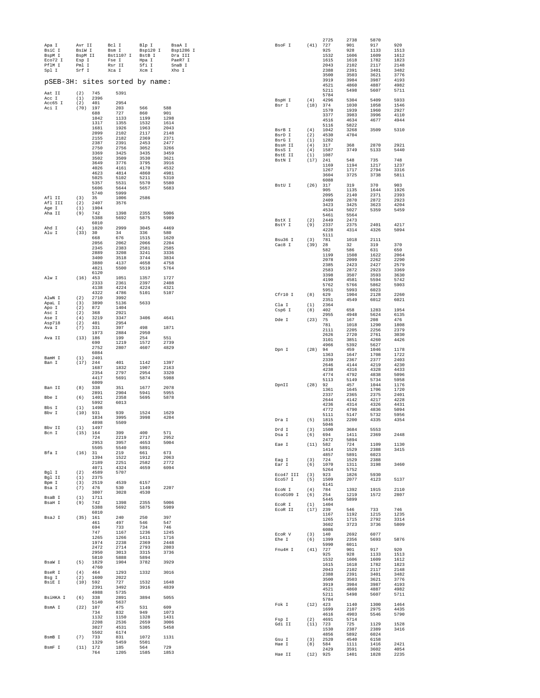| Apa I             | Avr II<br>BsiW I |              | Bcl I                          | Blp I              |              | BsaA I               | BsoF I              | (41)        | 2725<br>727  | 2738<br>901  | 5870<br>917  | 920          |
|-------------------|------------------|--------------|--------------------------------|--------------------|--------------|----------------------|---------------------|-------------|--------------|--------------|--------------|--------------|
| BsiC I<br>BspM I  | BspM II          |              | Bsm I<br>Bst1107 I             | Bsp120 I<br>BstB I |              | Bsp1286 I<br>Dra III |                     |             | 925<br>1532  | 928<br>1606  | 1133<br>1609 | 1513<br>1612 |
| Eco72 I<br>PflM I | Esp I<br>Pml I   |              | Fse I<br>Rsr II                | Hpa I<br>Sfi I     |              | PaeR7 I<br>SnaB I    |                     |             | 1615<br>2043 | 1618<br>2102 | 1782<br>2117 | 1823<br>2148 |
| Spl I             | Srf I            |              | Xca I                          | Xcm I              |              | Xho I                |                     |             | 2388<br>3500 | 2391<br>3503 | 3401<br>3621 | 3482<br>3776 |
|                   |                  |              | pSEB-3H: sites sorted by name: |                    |              |                      |                     |             | 3919<br>4521 | 3984<br>4860 | 3987<br>4887 | 4193<br>4982 |
| Aat II            | (2)              | 745          | 5391                           |                    |              |                      |                     |             | 5211         | 5498         | 5607         | 5711         |
| Acc I             | (1)              | 2396         |                                |                    |              |                      | BspH I              | (4)         | 5784<br>4296 | 5304         | 5409         | 5933         |
| Acc65 I<br>Aci I  | (2)<br>(70)      | 401<br>197   | 2954<br>203                    | 566                | 588          |                      | Bsr I               | (18)        | 374<br>1570  | 1030<br>1939 | 1058<br>1960 | 1546<br>2927 |
|                   |                  | 688<br>1042  | 727<br>1133                    | 860<br>1199        | 901<br>1298  |                      |                     |             | 3377         | 3983         | 3996         | 4110         |
|                   |                  | 1317         | 1355                           | 1532               | 1614         |                      |                     |             | 4516<br>5116 | 4634<br>5822 | 4677         | 4944         |
|                   |                  | 1681<br>2099 | 1926<br>2102                   | 1963<br>2117       | 2043<br>2148 |                      | BsrB I<br>BsrD I    | (4)<br>(2)  | 1042<br>4530 | 3268<br>4704 | 3509         | 5310         |
|                   |                  | 2155<br>2387 | 2182<br>2391                   | 2369<br>2453       | 2371<br>2477 |                      | BsrG I              | (1)         | 1282         |              |              |              |
|                   |                  | 2750         | 2756                           | 3052               | 3266         |                      | BssH II<br>BssS I   | (4)<br>(4)  | 317<br>1587  | 368<br>3749  | 2870<br>5133 | 2921<br>5440 |
|                   |                  | 3369<br>3502 | 3425<br>3509                   | 3435<br>3530       | 3459<br>3621 |                      | BstE II<br>BstN I   | (1)<br>(17) | 1087<br>241  | 548          | 735          | 748          |
|                   |                  | 3649<br>4026 | 3776<br>4161                   | 3795<br>4170       | 3916<br>4532 |                      |                     |             | 1169         | 1194         | 1217         | 1237         |
|                   |                  | 4623<br>5025 | 4814                           | 4860<br>5211       | 4981<br>5310 |                      |                     |             | 1267<br>3604 | 1717<br>3725 | 2794<br>3738 | 3316<br>5811 |
|                   |                  | 5357         | 5102<br>5531                   | 5570               | 5580         |                      | BstU I              | (26)        | 6088<br>317  | 319          | 370          | 903          |
|                   |                  | 5606<br>5740 | 5644<br>5999                   | 5657               | 5683         |                      |                     |             | 905          | 1135         | 1644         | 1926         |
| Afl II            | (3)              | 35           | 1006                           | 2586               |              |                      |                     |             | 2095<br>2409 | 2140<br>2870 | 2371<br>2872 | 2393<br>2923 |
| Afl III<br>Age I  | (2)<br>(1)       | 2407<br>1904 | 3576                           |                    |              |                      |                     |             | 3423<br>4534 | 3425<br>5027 | 3623<br>5359 | 4204<br>5459 |
| Aha II            | (9)              | 742<br>5388  | 1398<br>5692                   | 2355<br>5875       | 5006<br>5989 |                      |                     |             | 5461         | 5564         |              |              |
|                   |                  | 6010         |                                |                    |              |                      | BstX I<br>BstY I    | (2)<br>(9)  | 2449<br>2337 | 2473<br>2375 | 2401         | 4217         |
| Ahd I<br>Alu I    | (4)<br>(33)      | 1020<br>30   | 2999<br>34                     | 3045<br>336        | 4469<br>580  |                      |                     |             | 4228<br>5111 | 4314         | 4326         | 5094         |
|                   |                  | 668<br>2056  | 676<br>2062                    | 1515<br>2066       | 1620<br>2204 |                      | Bsu36 I             | (3)         | 781          | 1018         | 2111         |              |
|                   |                  | 2345         | 2383                           | 2581               | 2585         |                      | Cac8 I              | (39)        | 28<br>582    | 32<br>586    | 319<br>631   | 370<br>650   |
|                   |                  | 2889<br>3400 | 3208<br>3518                   | 3241<br>3744       | 3336<br>3834 |                      |                     |             | 1199<br>2078 | 1508<br>2099 | 1622<br>2262 | 2064<br>2290 |
|                   |                  | 3880<br>4821 | 4137<br>5500                   | 4658<br>5519       | 4758<br>5764 |                      |                     |             | 2385         | 2423         | 2427         | 2579         |
| Alw I             |                  | 6120         |                                |                    |              |                      |                     |             | 2583<br>3398 | 2872<br>3507 | 2923<br>3593 | 3369<br>3630 |
|                   | (16)             | 453<br>2333  | 1051<br>2361                   | 1357<br>2397       | 1727<br>2408 |                      |                     |             | 4190<br>5762 | 4581<br>5766 | 5594<br>5862 | 5742<br>5903 |
|                   |                  | 4138<br>4322 | 4224<br>4786                   | 4224<br>5101       | 4321<br>5107 |                      |                     |             | 5951         | 5993         | 6023         |              |
| AlwN I            | (2)              | 2710         | 3992                           |                    |              |                      | Cfr10 I             | (8)         | 629<br>2351  | 1904<br>4549 | 2128<br>6012 | 2260<br>6021 |
| ApaL I<br>Apo I   | (3)<br>(2)       | 3890<br>872  | 5136<br>1404                   | 5633               |              |                      | Cla I<br>Csp6 I     | (1)<br>(8)  | 2364<br>402  | 658          | 1283         | 1954         |
| Asc I<br>Ase I    | (2)<br>(4)       | 368<br>3219  | 2921<br>3347                   | 3406               | 4641         |                      |                     |             | 2955         | 4948         | 5624         | 6135         |
| Asp718<br>Ava I   | (2)              | 401          | 2954                           |                    |              |                      | Dde I               | (23)        | 75<br>781    | 167<br>1018  | 208<br>1290  | 476<br>1808  |
|                   | (7)              | 331<br>1973  | 397<br>2884                    | 498<br>2950        | 1871         |                      |                     |             | 2111<br>2626 | 2205<br>2720 | 2256<br>2761 | 2379<br>3030 |
| Ava II            | (13)             | 186<br>690   | 199<br>1219                    | 254<br>1572        | 551<br>2739  |                      |                     |             | 3101         | 3851         | 4260         | 4426         |
|                   |                  | 2752         | 2807                           | 4607               | 4829         |                      | Don I               | (28)        | 4966<br>94   | 5392<br>459  | 5627<br>1046 | 1178         |
| BamH I            | (1)              | 6084<br>2401 |                                |                    |              |                      |                     |             | 1363<br>2339 | 1647<br>2367 | 1708<br>2377 | 1722<br>2403 |
| Ban I             | (17)             | 244<br>1687  | 401<br>1832                    | 1142<br>1907       | 1397<br>2163 |                      |                     |             | 2646         | 4144         | 4219         | 4230         |
|                   |                  | 2354         | 2797                           | 2954               | 3320         |                      |                     |             | 4238<br>4774 | 4316<br>4792 | 4328<br>4838 | 4433<br>5096 |
|                   |                  | 4417<br>6009 | 5691                           | 5874               | 5988         |                      | DpnII               | (28)        | 5113<br>92   | 5149<br>457  | 5734<br>1044 | 5958<br>1176 |
| Ban II            | (8)              | 338<br>2891  | 351<br>2904                    | 1677<br>5941       | 2078<br>5955 |                      |                     |             | 1361         | 1645         | 1706         | 1720         |
| Bbe I             | (6)              | 1401         | 2358                           | 5695               | 5878         |                      |                     |             | 2337<br>2644 | 2365<br>4142 | 2375<br>4217 | 2401<br>4228 |
| Bbs I             | (1)              | 5992<br>1498 | 6013                           |                    |              |                      |                     |             | 4236<br>4772 | 4314<br>4790 | 4326<br>4836 | 4431<br>5094 |
| Bbv I             | (10)             | 931<br>1834  | 939<br>3995                    | 1524<br>3998       | 1629<br>4204 |                      |                     |             | 5111         | 5147         | 5732         | 5956         |
| Bbv II            | (1)              | 4898<br>1497 | 5509                           |                    |              |                      | Dra I               | (5)         | 1815<br>5046 | 2200         | 4335         | 4354         |
| Bcn I             | (15)             | 164          | 399                            | 400                | 571          |                      | Drd I<br>Dsa I      | (3)<br>(6)  | 1500<br>694  | 3684<br>1411 | 5553<br>2369 | 2448         |
|                   |                  | 724<br>2953  | 2219<br>3957                   | 2717<br>4653       | 2952<br>5004 |                      | Eae I               | (11)        | 2472<br>582  | 5894<br>724  | 1109         | 1130         |
| Bfa I             | (16)             | 5505<br>31   | 5540<br>219                    | 5891<br>661        | 673          |                      |                     |             | 1414         | 1529         | 2388         | 3415         |
|                   |                  | 1394         | 1522                           | 1912               | 2063         |                      | Eag I               | (3)         | 4857<br>724  | 5891<br>1529 | 6023<br>2388 |              |
|                   |                  | 2189<br>4071 | 2251<br>4324                   | 2582<br>4659       | 2772<br>6094 |                      | Ear I               | (6)         | 1070<br>5264 | 1311<br>5752 | 3198         | 3460         |
| Bal I<br>Bql II   | (2)<br>(1)       | 4589<br>2375 | 5707                           |                    |              |                      | Eco47 III           | (3)         | 923          | 1826         | 5930         |              |
| Bpm I<br>Bsa I    | (3)<br>(7)       | 2519<br>476  | 4539<br>530                    | 6157<br>1149       | 2207         |                      | Eco57 I             | (5)         | 1509<br>6141 | 2077         | 4123         | 5137         |
|                   |                  | 3007         | 3028                           | 4530               |              |                      | ECON I<br>Eco0109 I | (4)<br>(6)  | 784<br>254   | 1392<br>1219 | 1915<br>1572 | 2110<br>2807 |
| BsaB I<br>BsaH I  | (1)<br>(9)       | 1711<br>742  | 1398                           | 2355               | 5006         |                      | ECOR T              | (1)         | 5445<br>1404 | 5899         |              |              |
|                   |                  | 5388<br>6010 | 5692                           | 5875               | 5989         |                      | ECOR II             | (17)        | 239          | 546          | 733          | 746          |
| BsaJ I            | (35) 161         |              | 240                            | 250                | 397          |                      |                     |             | 1167<br>1265 | 1192<br>1715 | 1215<br>2792 | 1235<br>3314 |
|                   |                  | 461<br>694   | 497<br>733                     | 546<br>734         | 547<br>746   |                      |                     |             | 3602<br>6086 | 3723         | 3736         | 5809         |
|                   |                  | 747<br>1265  | 1167<br>1266                   | 1236<br>1411       | 1245<br>1716 |                      | ECOR V              | (3)         | 140          | 2692         | 6077         |              |
|                   |                  | 1974         | 2238                           | 2369               | 2448         |                      | Ehe I               | (6)         | 1399<br>5990 | 2356<br>6011 | 5693         | 5876         |
|                   |                  | 2472<br>2950 | 2714<br>3013                   | 2793<br>3315       | 2803<br>3736 |                      | Fnu4H I             | (41)        | 727<br>925   | 901<br>928   | 917<br>1133  | 920<br>1513  |
| BsaW I            | (5)              | 5810<br>1829 | 5888<br>1904                   | 5894<br>3782       | 3929         |                      |                     |             | 1532         | 1606         | 1609         | 1612         |
|                   |                  | 4760         |                                |                    |              |                      |                     |             | 1615<br>2043 | 1618<br>2102 | 1782<br>2117 | 1823<br>2148 |
| BseR I<br>Bsg I   | (4)<br>(2)       | 464<br>1600  | 1293<br>2022                   | 1332               | 3016         |                      |                     |             | 2388<br>3500 | 2391<br>3503 | 3401<br>3621 | 3482<br>3776 |
| BsiE I            | (10)             | 592<br>2391  | 727<br>3492                    | 1532<br>3916       | 1648<br>4839 |                      |                     |             | 3919         | 3984         | 3987         | 4193         |
|                   |                  | 4988         | 5735                           |                    |              |                      |                     |             | 4521<br>5211 | 4860<br>5498 | 4887<br>5607 | 4982<br>5711 |
| BsiHKA I          | (6)              | 338<br>5140  | 2891<br>5637                   | 3894               | 5055         |                      | Fok I               | $(12)$ 423  | 5784         | 1140         | 1300         | 1464         |
| BsmA I            | $(22)$ 107       | 734          | 475<br>832                     | 531<br>949         | 609<br>1073  |                      |                     |             | 1699         | 2107         | 2975         | 4435         |
|                   |                  | 1132         | 1150                           | 1328               | 1431         |                      | Fsp I               | (2)         | 4616<br>4691 | 4903<br>5714 | 5546         | 5790         |
|                   |                  | 2208<br>3027 | 2536<br>4531                   | 2659<br>5305       | 3006<br>5458 |                      | Gdi II              | (11)        | 723<br>1530  | 725<br>2387  | 1129<br>2389 | 1528<br>3416 |
| BsmB I            | (7)              | 5502<br>733  | 6174<br>831                    | 1072               | 1131         |                      | Gsu I               | (3)         | 4856<br>2520 | 5892         | 6024         |              |
| BsmF I            | $(11)$ 172       | 1329         | 5459<br>185                    | 5501<br>564        | 729          |                      | Hae I               | (8)         | 584          | 4540<br>1111 | 6158<br>1416 | 2421         |
|                   |                  | 764          | 1205                           | 1585               | 1853         |                      | Hae II              | (12)        | 2429<br>925  | 3591<br>1401 | 3602<br>1828 | 4054<br>2235 |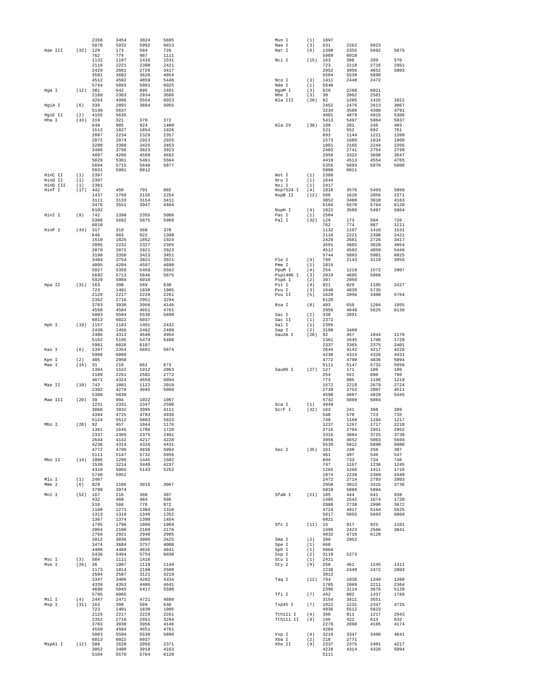|                     |             | 2358                | 3454                 | 3824                 | 5695                 | Mun I          | (1)        | 1897                 |              |              |              |
|---------------------|-------------|---------------------|----------------------|----------------------|----------------------|----------------|------------|----------------------|--------------|--------------|--------------|
|                     |             | 5878                | 5932                 | 5992                 | 6013                 | Nae I          | (3)        | 631                  | 2262         | 6023         |              |
| Hae III             | (32)        | 129<br>762          | 173<br>774           | 584<br>987           | 726<br>1111          | Nar I          | (6)        | 1398<br>5989         | 2355<br>6010 | 5692         | 5875         |
|                     |             | 1132                | 1197                 | 1416                 | 1531                 | Nci I          | (15)       | 163                  | 398          | 399          | 570          |
|                     |             | 2116                | 2221                 | 2390                 | 2421                 |                |            | 723                  | 2218         | 2716         | 2951         |
|                     |             | 2429                | 2681                 | 2726                 | 3417                 |                |            | 2952                 | 3956         | 4652         | 5003         |
|                     |             | 3591<br>4512        | 3602<br>4592         | 3620<br>4859         | 4054<br>5446         | Nco I          | (3)        | 5504<br>1411         | 5539<br>2448 | 5890<br>2472 |              |
|                     |             | 5744                | 5893                 | 5901                 | 6025                 | Nde I          | (1)        | 5640                 |              |              |              |
| Hga I               | (12)        | 381                 | 642                  | 895                  | 1491                 | NgoM I         | (3)        | 629                  | 2260         | 6021         |              |
|                     |             | 2168                | 2383                 | 2934                 | 3686                 | Nhe I          | (3)        | 30                   | 2062         | 2581         |              |
| HgiA I              | (6)         | 4264<br>338         | 4996<br>2891         | 5554<br>3894         | 6023<br>5055         | Nla III        | (20)       | 62<br>2452           | 1205<br>2476 | 1415<br>2613 | 1822<br>3067 |
|                     |             | 5140                | 5637                 |                      |                      |                |            | 3234                 | 3580         | 4300         | 4791         |
| HgiE II             | (2)         | 4155                | 5635                 |                      |                      |                |            | 4801                 | 4879         | 4915         | 5308         |
| Hha I               | (43)        | 319                 | 321                  | 370                  | 372                  |                |            | 5413                 | 5497         | 5864         | 5937         |
|                     |             | 648                 | 905                  | 924                  | 1400                 | Nla IV         | (38)       | 188                  | 201          | 246          | 403          |
|                     |             | 1512<br>2097        | 1827<br>2234         | 1854<br>2329         | 1926<br>2357         |                |            | 521<br>893           | 552<br>1144  | 692<br>1221  | 761<br>1399  |
|                     |             | 2872                | 2874                 | 2923                 | 2925                 |                |            | 1573                 | 1689         | 1834         | 1909         |
|                     |             | 3200                | 3360                 | 3425                 | 3453                 |                |            | 1961                 | 2165         | 2244         | 2356         |
|                     |             | 3486                | 3756                 | 3823                 | 3923                 |                |            | 2403                 | 2741         | 2754         | 2799         |
|                     |             | 4097<br>5029        | 4206<br>5361         | 4599<br>5461         | 4692<br>5564         |                |            | 2956<br>4419         | 3322<br>4513 | 3608<br>4554 | 3647<br>4765 |
|                     |             | 5694                | 5715                 | 5848                 | 5877                 |                |            | 5355                 | 5693         | 5876         | 5900         |
|                     |             | 5931                | 5991                 | 6012                 |                      |                |            | 5990                 | 6011         |              |              |
| HinC II             | (1)         | 2397                |                      |                      |                      | Not I          | (1)        | 2388                 |              |              |              |
| Hind II<br>HinD III | (1)<br>(1)  | 2397<br>2381        |                      |                      |                      | Nru I<br>Nsi I | (1)<br>(1) | 1644<br>2417         |              |              |              |
| Hinf I              | (17)        | 442                 | 450                  | 791                  | 802                  | Nsp7524 I      | (4)        | 1818                 | 3576         | 5493         | 5860         |
|                     |             | 1437                | 1769                 | 2135                 | 2254                 | NspB II        | (12)       | 588                  | 1620         | 2056         | 2371         |
|                     |             | 3111                | 3133                 | 3154                 | 3411                 |                |            | 3052                 | 3400         | 3918         | 4163         |
|                     |             | 3476<br>6102        | 3551                 | 3947                 | 4464                 | NspH I         | (4)        | 5104<br>1822         | 5570<br>3580 | 5764<br>5497 | 6120<br>5864 |
| HinI I              | (9)         | 742                 | 1398                 | 2355                 | 5006                 | Pac I          | (1)        | 2504                 |              |              |              |
|                     |             | 5388                | 5692                 | 5875                 | 5989                 | Pal I          | (32)       | 129                  | 173          | 584          | 726          |
|                     |             | 6010                |                      |                      |                      |                |            | 762                  | 774          | 987          | 1111         |
| HinP I              | (43)        | 317<br>646          | 319<br>903           | 368<br>922           | 370<br>1398          |                |            | 1132<br>2116         | 1197<br>2221 | 1416<br>2390 | 1531<br>2421 |
|                     |             | 1510                | 1825                 | 1852                 | 1924                 |                |            | 2429                 | 2681         | 2726         | 3417         |
|                     |             | 2095                | 2232                 | 2327                 | 2355                 |                |            | 3591                 | 3602         | 3620         | 4054         |
|                     |             | 2870                | 2872                 | 2921                 | 2923                 |                |            | 4512                 | 4592         | 4859         | 5446         |
|                     |             | 3198<br>3484        | 3358<br>3754         | 3423<br>3821         | 3451<br>3921         | Ple I          | (4)        | 5744<br>799          | 5893<br>2143 | 5901<br>3119 | 6025<br>3955 |
|                     |             | 4095                | 4204                 | 4597                 | 4690                 | Pme I          | (1)        | 1815                 |              |              |              |
|                     |             | 5027                | 5359                 | 5459                 | 5562                 | PpuM I         | (4)        | 254                  | 1219         | 1572         | 2807         |
|                     |             | 5692                | 5713                 | 5846                 | 5875                 | Psp1406 I      | (3)        | 2019                 | 4695         | 5068         |              |
|                     |             | 5929                | 5989                 | 6010                 |                      | PspA I         | (2)        | 397                  | 2950         |              |              |
| Hpa II              | (31)        | 163<br>723          | 398<br>1401          | 569<br>1830          | 630<br>1905          | Pst I<br>Pvu I | (4)<br>(3) | 921<br>1648          | 929<br>4839  | 1105<br>5735 | 2427         |
|                     |             | 2129                | 2217                 | 2229                 | 2261                 | Pvu II         | (5)        | 1620                 | 2056         | 3400         | 5764         |
|                     |             | 2352                | 2716                 | 2951                 | 3294                 |                |            | 6120                 |              |              |              |
|                     |             | 3783                | 3930                 | 3956                 | 4146                 | Rsa I          | (8)        | 403                  | 659          | 1284         | 1955         |
|                     |             | 4550<br>5003        | 4584<br>5504         | 4651<br>5538         | 4761<br>5890         | Sac I          | (2)        | 2956<br>338          | 4949<br>2891 | 5625         | 6136         |
|                     |             | 6013                | 6022                 | 6037                 |                      | Sac II         | (1)        | 2372                 |              |              |              |
| Hph I               |             | $(19)$ 1157         | 1183                 | 1401                 | 2432                 | Sal I          | (1)        | 2395                 |              |              |              |
|                     |             | 2438                | 2456                 | 2462                 | 2480                 | Sap I          | (2)        | 3198                 | 3460         |              |              |
|                     |             | 2486<br>5162        | 4313<br>5195         | 4540<br>5479         | 4954<br>5488         | Sau3A I        | (28)       | 92<br>1361           | 457<br>1645  | 1044<br>1706 | 1176<br>1720 |
|                     |             | 5981                | 6026                 | 6107                 |                      |                |            | 2337                 | 2365         | 2375         | 2401         |
| Kas I               | (6)         | 1397                | 2354                 | 5691                 | 5874                 |                |            | 2644                 | 4142         | 4217         | 4228         |
|                     |             | 5988                | 6009                 |                      |                      |                |            | 4236                 | 4314         | 4326         | 4431         |
| Kpn I<br>Mae I      | (2)<br>(16) | 405<br>31           | 2958<br>219          | 661                  | 673                  |                |            | 4772<br>5111         | 4790<br>5147 | 4836<br>5732 | 5094<br>5956 |
|                     |             | 1394                | 1522                 | 1912                 | 2063                 | Sau96 I        | (27)       | 127                  | 171          | 186          | 199          |
|                     |             | 2189                | 2251                 | 2582                 | 2772                 |                |            | 254                  | 551          | 690          | 760          |
|                     |             | 4071                | 4324                 | 4659                 | 6094                 |                |            | 773                  | 985          | 1196         | 1219         |
| Mae II              | (10)        | 742<br>2302         | 1081<br>4279         | 1122<br>4695         | 2019<br>5068         |                |            | 1572<br>2739         | 2219<br>2752 | 2679<br>2807 | 2724<br>4511 |
|                     |             | 5388                | 5830                 |                      |                      |                |            | 4590                 | 4607         | 4829         | 5445         |
| Mae III             | (20)        | 39                  | 994                  | 1022                 | 1087                 |                |            | 5742                 | 5899         | 6084         |              |
|                     |             | 1231                | 2331                 | 2347                 | 2590                 | Sca I          | (1)        | 4949                 |              |              |              |
|                     |             | 3068<br>4394        | 3932<br>4725         | 3995<br>4783         | 4111<br>4936         | ScrF I         | (32)       | 163<br>548           | 241<br>570   | 398<br>723   | 399<br>735   |
|                     |             | 5124                | 5512                 | 5803                 | 5823                 |                |            | 748                  | 1169         | 1194         | 1217         |
| Mbo I               | (28)        | 92                  | 457                  | 1044                 | 1176                 |                |            | 1237                 | 1267         | 1717         | 2218         |
|                     |             | 1361                | 1645                 | 1706                 | 1720                 |                |            | 2716                 | 2794         | 2951         | 2952         |
|                     |             | 2337<br>2644        | 2365<br>4142         | 2375<br>4217         | 2401<br>4228         |                |            | 3316<br>3956         | 3604<br>4652 | 3725<br>5003 | 3738<br>5504 |
|                     |             | 4236                | 4314                 | 4326                 | 4431                 |                |            | 5539                 | 5811         | 5890         | 6088         |
|                     |             | 4772                | 4790                 | 4836                 | 5094                 | Sec I          | (35)       | 161                  | 240          | 250          | 397          |
|                     |             | 5111                | 5147                 | 5732                 | 5956                 |                |            | 461                  | 497          | 546          | 547          |
| Mbo II              |             | $(14)$ 1086<br>1530 | 1299<br>3214         | 1445<br>3448         | 1502<br>4237         |                |            | 694<br>747           | 733<br>1167  | 734<br>1236  | 746<br>1245  |
|                     |             | 4310                | 5065                 | 5143                 | 5252                 |                |            | 1265                 | 1266         | 1411         | 1716         |
|                     |             | 5740                | 5952                 |                      |                      |                |            | 1974                 | 2238         | 2369         | 2448         |
| Mlu I<br>Mme I      | (1)<br>(6)  | 2407<br>829         | 1106                 | 3015                 | 3067                 |                |            | 2472<br>2950         | 2714<br>3013 | 2793<br>3315 | 2803<br>3736 |
|                     |             | 3790                | 3974                 |                      |                      |                |            | 5810                 | 5888         | 5894         |              |
| Mnl I               | (52)        | 167                 | 216                  | 368                  | 387                  | SfaN I         |            | $(21)$ 185           | 444          | 641          | 938          |
|                     |             | 432                 | 460                  | 484                  | 506                  |                |            | 1485<br>2088         | 1542         | 1674         | 1720<br>3672 |
|                     |             | 510<br>1168         | 566<br>1271          | 776<br>1304          | 872<br>1310          |                |            | 4724                 | 2738<br>4917 | 2996<br>5164 | 5525         |
|                     |             | 1313                | 1319                 | 1349                 | 1352                 |                |            | 5617                 | 5655         | 5693         | 6009         |
|                     |             | 1367                | 1374                 | 1390                 | 1454                 |                |            | 6021                 |              |              |              |
|                     |             | 1795                | 1796                 | 1880                 | 1969                 | Sfc I          | (11)       | 15                   | 917          | 925          | 1101         |
|                     |             | 2064<br>2769        | 2106<br>2921         | 2160<br>2940         | 2176<br>2985         |                |            | 1496<br>4032         | 2423<br>4710 | 2566<br>6128 | 3841         |
|                     |             | 3012                | 3036                 | 3096                 | 3425                 | Sma I          | (2)        | 399                  | 2952         |              |              |
|                     |             | 3474                | 3684                 | 3757                 | 4008                 | Spe I          | (1)        | 660                  |              |              |              |
|                     |             | 4408                | 4489                 | 4635                 | 4841                 | Sph I          | (1)        | 5864                 |              |              |              |
| Msc I               | (3)         | 5436<br>584         | 5494<br>1111         | 5754<br>1416         | 6038                 | Ssp I<br>Stu I | (2)<br>(1) | 3119<br>2421         | 5273         |              |              |
| Mse I               | (26)        | 36                  | 1007                 | 1119                 | 1149                 | Sty I          | (9)        | 250                  | 461          | 1245         | 1411         |
|                     |             | 1173                | 1814                 | 2199                 | 2500                 |                |            | 2238                 | 2448         | 2472         | 2803         |
|                     |             | 2504                | 2587                 | 3121                 | 3219                 |                |            | 3013                 |              |              |              |
|                     |             | 3347                | 3406                 | 4282<br>4406         | 4334<br>4641         | Taq I          | (12)       | 794                  | 1038         | 1349<br>2211 | 1360<br>2364 |
|                     |             | 4339<br>4680        | 4353<br>5045         | 5417                 | 5598                 |                |            | 1705<br>2396         | 2069<br>3114 | 3676         | 5120         |
|                     |             | 5795                | 6065                 |                      |                      | Tfi I          | (7)        | 442                  | 802          | 1437         | 1769         |
| Msl I               | (4)         | 2447                | 2471                 | 4721                 | 4880                 |                |            | 3154                 | 3411         | 3551         |              |
| Msp I               | (31)        | 163<br>723          | 398                  | 569<br>1830          | 630<br>1905          | Tsp45 I        | (7)        | 1022<br>4936         | 1231<br>5512 | 2347<br>5823 | 4725         |
|                     |             | 2129                | 1401<br>2217         | 2229                 | 2261                 | Tth111 I       | (4)        | 390                  | 811          | 1217         | 2943         |
|                     |             | 2352                | 2716                 | 2951                 | 3294                 | Tth111 II      | (9)        | 146                  | 422          | 613          | 632          |
|                     |             |                     |                      |                      |                      |                |            |                      |              |              |              |
|                     |             | 3783                | 3930                 | 3956                 | 4146                 |                |            | 2278                 | 2698         | 4165         | 4174         |
|                     |             | 4550                | 4584                 | 4651                 | 4761                 |                |            | 4204                 |              |              |              |
|                     |             | 5003                | 5504                 | 5538                 | 5890                 | Vsp I          | (4)        | 3219                 | 3347         | 3406         | 4641         |
|                     |             | 6013                | 6022                 | 6037                 |                      | Xba I          | (2)        | 218                  | 2771         |              |              |
| MspAl I             | $(12)$ 588  | 3052<br>5104        | 1620<br>3400<br>5570 | 2056<br>3918<br>5764 | 2371<br>4163<br>6120 | Xho II         | (9)        | 2337<br>4228<br>5111 | 2375<br>4314 | 2401<br>4326 | 4217<br>5094 |